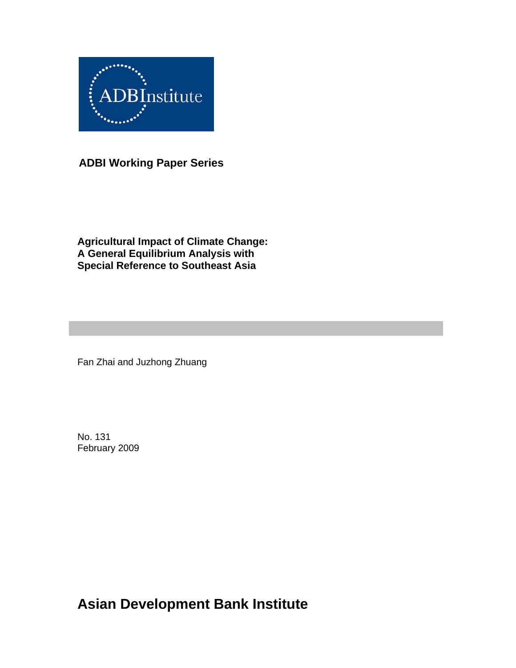

**ADBI Working Paper Series** 

**Agricultural Impact of Climate Change: A General Equilibrium Analysis with Special Reference to Southeast Asia** 

Fan Zhai and Juzhong Zhuang

No. 131 February 2009

**Asian Development Bank Institute**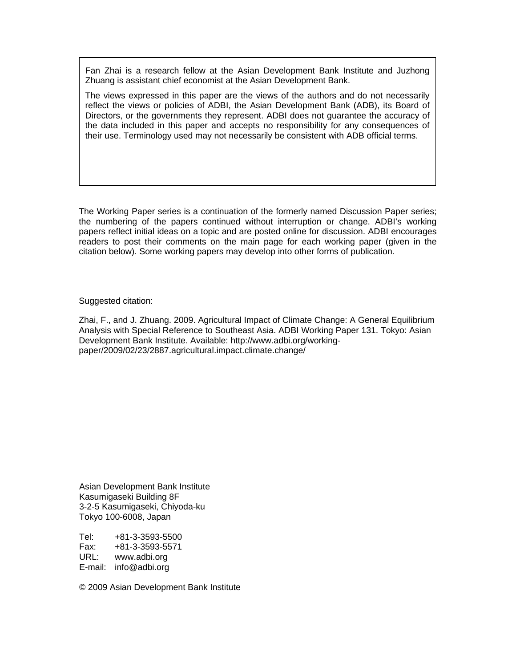Fan Zhai is a research fellow at the Asian Development Bank Institute and Juzhong Zhuang is assistant chief economist at the Asian Development Bank.

The views expressed in this paper are the views of the authors and do not necessarily reflect the views or policies of ADBI, the Asian Development Bank (ADB), its Board of Directors, or the governments they represent. ADBI does not guarantee the accuracy of the data included in this paper and accepts no responsibility for any consequences of their use. Terminology used may not necessarily be consistent with ADB official terms.

The Working Paper series is a continuation of the formerly named Discussion Paper series; the numbering of the papers continued without interruption or change. ADBI's working papers reflect initial ideas on a topic and are posted online for discussion. ADBI encourages readers to post their comments on the main page for each working paper (given in the citation below). Some working papers may develop into other forms of publication.

Suggested citation:

Zhai, F., and J. Zhuang. 2009. Agricultural Impact of Climate Change: A General Equilibrium Analysis with Special Reference to Southeast Asia. ADBI Working Paper 131. Tokyo: Asian Development Bank Institute. Available: http://www.adbi.org/workingpaper/2009/02/23/2887.agricultural.impact.climate.change/

Asian Development Bank Institute Kasumigaseki Building 8F 3-2-5 Kasumigaseki, Chiyoda-ku Tokyo 100-6008, Japan

Tel: +81-3-3593-5500 Fax: +81-3-3593-5571 URL: www.adbi.org E-mail: info@adbi.org

© 2009 Asian Development Bank Institute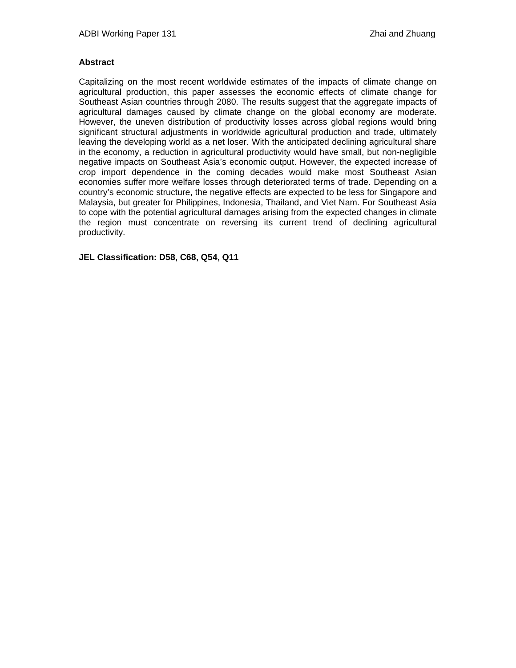### **Abstract**

Capitalizing on the most recent worldwide estimates of the impacts of climate change on agricultural production, this paper assesses the economic effects of climate change for Southeast Asian countries through 2080. The results suggest that the aggregate impacts of agricultural damages caused by climate change on the global economy are moderate. However, the uneven distribution of productivity losses across global regions would bring significant structural adjustments in worldwide agricultural production and trade, ultimately leaving the developing world as a net loser. With the anticipated declining agricultural share in the economy, a reduction in agricultural productivity would have small, but non-negligible negative impacts on Southeast Asia's economic output. However, the expected increase of crop import dependence in the coming decades would make most Southeast Asian economies suffer more welfare losses through deteriorated terms of trade. Depending on a country's economic structure, the negative effects are expected to be less for Singapore and Malaysia, but greater for Philippines, Indonesia, Thailand, and Viet Nam. For Southeast Asia to cope with the potential agricultural damages arising from the expected changes in climate the region must concentrate on reversing its current trend of declining agricultural productivity.

**JEL Classification: D58, C68, Q54, Q11**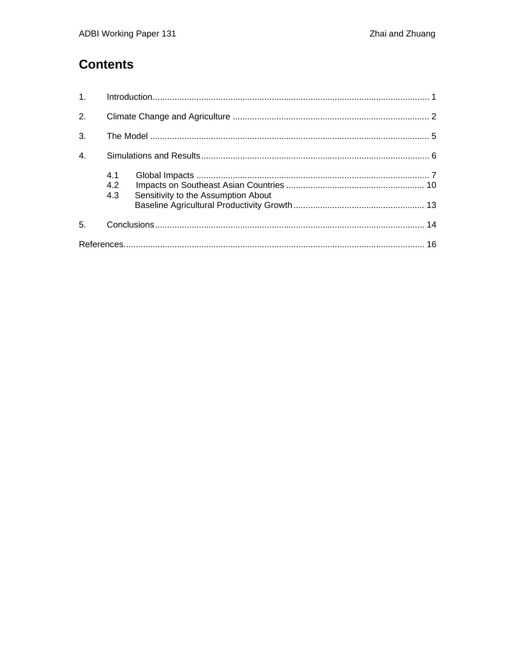# **Contents**

| 1.               |            |                                     |  |
|------------------|------------|-------------------------------------|--|
| 2.               |            |                                     |  |
| 3.               |            |                                     |  |
| $\overline{4}$ . |            |                                     |  |
|                  | 4.1<br>4.2 |                                     |  |
|                  | 4.3        | Sensitivity to the Assumption About |  |
| 5.               |            |                                     |  |
|                  |            |                                     |  |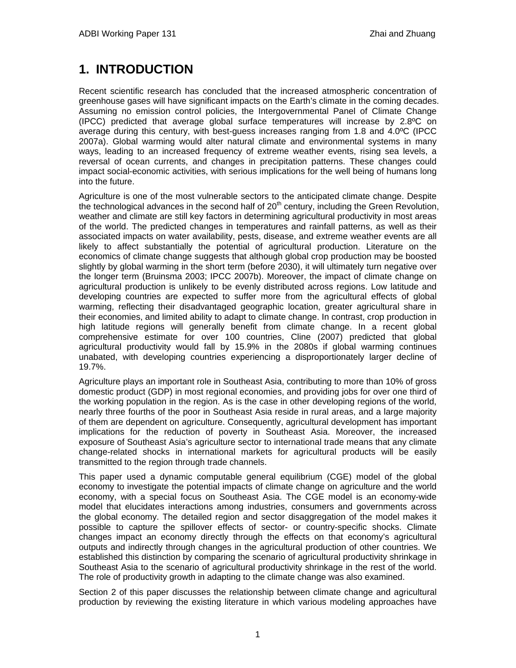# **1. INTRODUCTION**

Recent scientific research has concluded that the increased atmospheric concentration of greenhouse gases will have significant impacts on the Earth's climate in the coming decades. Assuming no emission control policies, the Intergovernmental Panel of Climate Change (IPCC) predicted that average global surface temperatures will increase by 2.8ºC on average during this century, with best-guess increases ranging from 1.8 and 4.0ºC (IPCC 2007a). Global warming would alter natural climate and environmental systems in many ways, leading to an increased frequency of extreme weather events, rising sea levels, a reversal of ocean currents, and changes in precipitation patterns. These changes could impact social-economic activities, with serious implications for the well being of humans long into the future.

Agriculture is one of the most vulnerable sectors to the anticipated climate change. Despite the technological advances in the second half of  $20<sup>th</sup>$  century, including the Green Revolution, weather and climate are still key factors in determining agricultural productivity in most areas of the world. The predicted changes in temperatures and rainfall patterns, as well as their associated impacts on water availability, pests, disease, and extreme weather events are all likely to affect substantially the potential of agricultural production. Literature on the economics of climate change suggests that although global crop production may be boosted slightly by global warming in the short term (before 2030), it will ultimately turn negative over the longer term (Bruinsma 2003; IPCC 2007b). Moreover, the impact of climate change on agricultural production is unlikely to be evenly distributed across regions. Low latitude and developing countries are expected to suffer more from the agricultural effects of global warming, reflecting their disadvantaged geographic location, greater agricultural share in their economies, and limited ability to adapt to climate change. In contrast, crop production in high latitude regions will generally benefit from climate change. In a recent global comprehensive estimate for over 100 countries, Cline (2007) predicted that global agricultural productivity would fall by 15.9% in the 2080s if global warming continues unabated, with developing countries experiencing a disproportionately larger decline of 19.7%.

Agriculture plays an important role in Southeast Asia, contributing to more than 10% of gross domestic product (GDP) in most regional economies, and providing jobs for over one third of the working population in the region. As is the case in other developing regions of the world, nearly three fourths of the poor in Southeast Asia reside in rural areas, and a large majority of them are dependent on agriculture. Consequently, agricultural development has important implications for the reduction of poverty in Southeast Asia. Moreover, the increased exposure of Southeast Asia's agriculture sector to international trade means that any climate change-related shocks in international markets for agricultural products will be easily transmitted to the region through trade channels.

This paper used a dynamic computable general equilibrium (CGE) model of the global economy to investigate the potential impacts of climate change on agriculture and the world economy, with a special focus on Southeast Asia. The CGE model is an economy-wide model that elucidates interactions among industries, consumers and governments across the global economy. The detailed region and sector disaggregation of the model makes it possible to capture the spillover effects of sector- or country-specific shocks. Climate changes impact an economy directly through the effects on that economy's agricultural outputs and indirectly through changes in the agricultural production of other countries. We established this distinction by comparing the scenario of agricultural productivity shrinkage in Southeast Asia to the scenario of agricultural productivity shrinkage in the rest of the world. The role of productivity growth in adapting to the climate change was also examined.

Section 2 of this paper discusses the relationship between climate change and agricultural production by reviewing the existing literature in which various modeling approaches have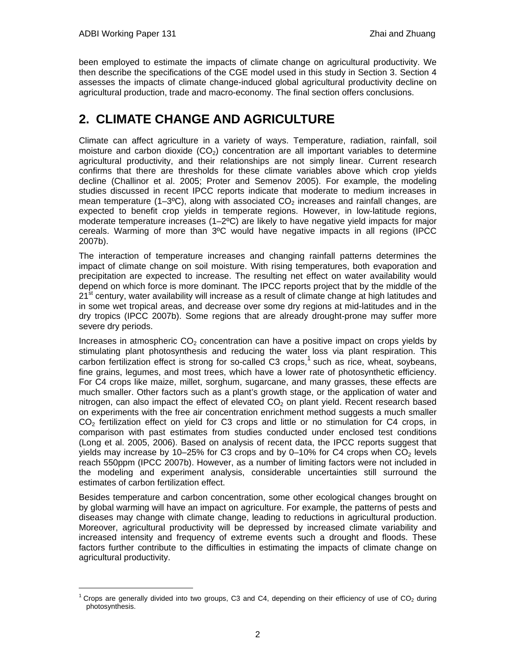l

been employed to estimate the impacts of climate change on agricultural productivity. We then describe the specifications of the CGE model used in this study in Section 3. Section 4 assesses the impacts of climate change-induced global agricultural productivity decline on agricultural production, trade and macro-economy. The final section offers conclusions.

# **2. CLIMATE CHANGE AND AGRICULTURE**

Climate can affect agriculture in a variety of ways. Temperature, radiation, rainfall, soil moisture and carbon dioxide  $(CO<sub>2</sub>)$  concentration are all important variables to determine agricultural productivity, and their relationships are not simply linear. Current research confirms that there are thresholds for these climate variables above which crop yields decline (Challinor et al. 2005; Proter and Semenov 2005). For example, the modeling studies discussed in recent IPCC reports indicate that moderate to medium increases in mean temperature (1–3°C), along with associated  $CO<sub>2</sub>$  increases and rainfall changes, are expected to benefit crop yields in temperate regions. However, in low-latitude regions, moderate temperature increases  $(1-2<sup>o</sup>C)$  are likely to have negative yield impacts for major cereals. Warming of more than 3ºC would have negative impacts in all regions (IPCC 2007b).

The interaction of temperature increases and changing rainfall patterns determines the impact of climate change on soil moisture. With rising temperatures, both evaporation and precipitation are expected to increase. The resulting net effect on water availability would depend on which force is more dominant. The IPCC reports project that by the middle of the  $21<sup>st</sup>$  century, water availability will increase as a result of climate change at high latitudes and in some wet tropical areas, and decrease over some dry regions at mid-latitudes and in the dry tropics (IPCC 2007b). Some regions that are already drought-prone may suffer more severe dry periods.

Increases in atmospheric  $CO<sub>2</sub>$  concentration can have a positive impact on crops yields by stimulating plant photosynthesis and reducing the water loss via plant respiration. This carbon fertilization effect is strong for so-called C3 crops,<sup>1</sup> such as rice, wheat, soybeans, fine grains, legumes, and most trees, which have a lower rate of photosynthetic efficiency. For C4 crops like maize, millet, sorghum, sugarcane, and many grasses, these effects are much smaller. Other factors such as a plant's growth stage, or the application of water and nitrogen, can also impact the effect of elevated  $CO<sub>2</sub>$  on plant yield. Recent research based on experiments with the free air concentration enrichment method suggests a much smaller CO<sub>2</sub> fertilization effect on yield for C3 crops and little or no stimulation for C4 crops, in comparison with past estimates from studies conducted under enclosed test conditions (Long et al. 2005, 2006). Based on analysis of recent data, the IPCC reports suggest that yields may increase by 10–25% for C3 crops and by 0–10% for C4 crops when  $CO<sub>2</sub>$  levels reach 550ppm (IPCC 2007b). However, as a number of limiting factors were not included in the modeling and experiment analysis, considerable uncertainties still surround the estimates of carbon fertilization effect.

Besides temperature and carbon concentration, some other ecological changes brought on by global warming will have an impact on agriculture. For example, the patterns of pests and diseases may change with climate change, leading to reductions in agricultural production. Moreover, agricultural productivity will be depressed by increased climate variability and increased intensity and frequency of extreme events such a drought and floods. These factors further contribute to the difficulties in estimating the impacts of climate change on agricultural productivity.

<sup>&</sup>lt;sup>1</sup> Crops are generally divided into two groups, C3 and C4, depending on their efficiency of use of CO<sub>2</sub> during photosynthesis.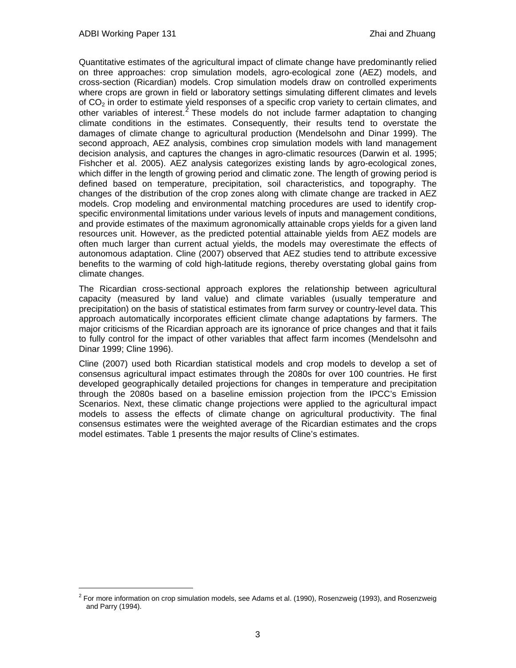l

Quantitative estimates of the agricultural impact of climate change have predominantly relied on three approaches: crop simulation models, agro-ecological zone (AEZ) models, and cross-section (Ricardian) models. Crop simulation models draw on controlled experiments where crops are grown in field or laboratory settings simulating different climates and levels of  $CO<sub>2</sub>$  in order to estimate yield responses of a specific crop variety to certain climates, and other variables of interest.<sup>2</sup> These models do not include farmer adaptation to changing climate conditions in the estimates. Consequently, their results tend to overstate the damages of climate change to agricultural production (Mendelsohn and Dinar 1999). The second approach, AEZ analysis, combines crop simulation models with land management decision analysis, and captures the changes in agro-climatic resources (Darwin et al. 1995; Fishcher et al. 2005). AEZ analysis categorizes existing lands by agro-ecological zones, which differ in the length of growing period and climatic zone. The length of growing period is defined based on temperature, precipitation, soil characteristics, and topography. The changes of the distribution of the crop zones along with climate change are tracked in AEZ models. Crop modeling and environmental matching procedures are used to identify cropspecific environmental limitations under various levels of inputs and management conditions, and provide estimates of the maximum agronomically attainable crops yields for a given land resources unit. However, as the predicted potential attainable yields from AEZ models are often much larger than current actual yields, the models may overestimate the effects of autonomous adaptation. Cline (2007) observed that AEZ studies tend to attribute excessive benefits to the warming of cold high-latitude regions, thereby overstating global gains from climate changes.

The Ricardian cross-sectional approach explores the relationship between agricultural capacity (measured by land value) and climate variables (usually temperature and precipitation) on the basis of statistical estimates from farm survey or country-level data. This approach automatically incorporates efficient climate change adaptations by farmers. The major criticisms of the Ricardian approach are its ignorance of price changes and that it fails to fully control for the impact of other variables that affect farm incomes (Mendelsohn and Dinar 1999; Cline 1996).

Cline (2007) used both Ricardian statistical models and crop models to develop a set of consensus agricultural impact estimates through the 2080s for over 100 countries. He first developed geographically detailed projections for changes in temperature and precipitation through the 2080s based on a baseline emission projection from the IPCC's Emission Scenarios. Next, these climatic change projections were applied to the agricultural impact models to assess the effects of climate change on agricultural productivity. The final consensus estimates were the weighted average of the Ricardian estimates and the crops model estimates. Table 1 presents the major results of Cline's estimates.

 $^2$  For more information on crop simulation models, see Adams et al. (1990), Rosenzweig (1993), and Rosenzweig and Parry (1994).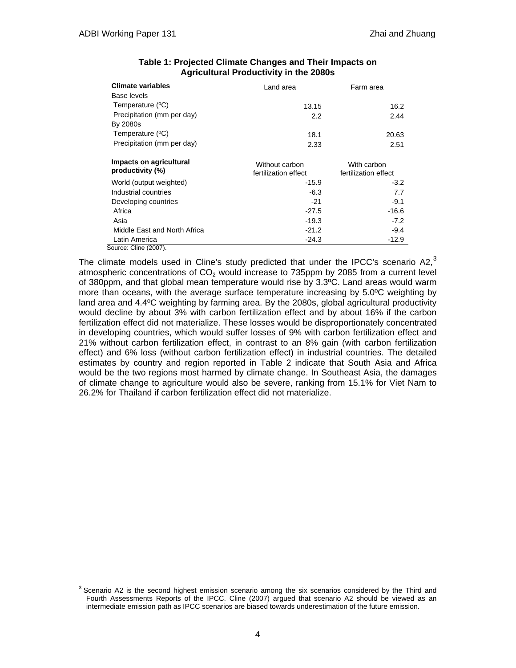l

| Climate variables                           | Land area                              | Farm area                           |  |
|---------------------------------------------|----------------------------------------|-------------------------------------|--|
| Base levels                                 |                                        |                                     |  |
| Temperature (°C)                            | 13.15                                  | 16.2                                |  |
| Precipitation (mm per day)                  | 2.2                                    | 2.44                                |  |
| By 2080s                                    |                                        |                                     |  |
| Temperature (°C)                            | 18.1                                   | 20.63                               |  |
| Precipitation (mm per day)                  | 2.33                                   | 2.51                                |  |
| Impacts on agricultural<br>productivity (%) | Without carbon<br>fertilization effect | With carbon<br>fertilization effect |  |
| World (output weighted)                     | $-15.9$                                | $-3.2$                              |  |
| Industrial countries                        | $-6.3$                                 | 7.7                                 |  |
| Developing countries                        | $-21$                                  | $-9.1$                              |  |
| Africa                                      | $-27.5$                                | -16.6                               |  |
| Asia                                        | $-19.3$                                | $-7.2$                              |  |
| Middle East and North Africa                | $-21.2$                                | $-9.4$                              |  |
| Latin America                               | $-24.3$                                | $-12.9$                             |  |
| Source: Cline (2007).                       |                                        |                                     |  |

### **Table 1: Projected Climate Changes and Their Impacts on Agricultural Productivity in the 2080s**

The climate models used in Cline's study predicted that under the IPCC's scenario A2, $3$ atmospheric concentrations of  $CO<sub>2</sub>$  would increase to 735ppm by 2085 from a current level of 380ppm, and that global mean temperature would rise by 3.3ºC. Land areas would warm more than oceans, with the average surface temperature increasing by 5.0ºC weighting by land area and 4.4ºC weighting by farming area. By the 2080s, global agricultural productivity would decline by about 3% with carbon fertilization effect and by about 16% if the carbon fertilization effect did not materialize. These losses would be disproportionately concentrated in developing countries, which would suffer losses of 9% with carbon fertilization effect and 21% without carbon fertilization effect, in contrast to an 8% gain (with carbon fertilization effect) and 6% loss (without carbon fertilization effect) in industrial countries. The detailed estimates by country and region reported in Table 2 indicate that South Asia and Africa would be the two regions most harmed by climate change. In Southeast Asia, the damages of climate change to agriculture would also be severe, ranking from 15.1% for Viet Nam to 26.2% for Thailand if carbon fertilization effect did not materialize.

<sup>&</sup>lt;sup>3</sup> Scenario A2 is the second highest emission scenario among the six scenarios considered by the Third and Fourth Assessments Reports of the IPCC. Cline (2007) argued that scenario A2 should be viewed as an intermediate emission path as IPCC scenarios are biased towards underestimation of the future emission.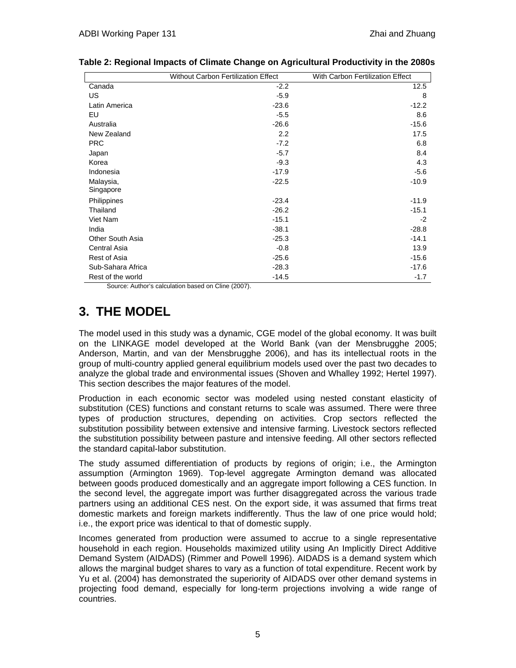|                   | <b>Without Carbon Fertilization Effect</b> | With Carbon Fertilization Effect |
|-------------------|--------------------------------------------|----------------------------------|
| Canada            | $-2.2$                                     | 12.5                             |
| US                | $-5.9$                                     | 8                                |
| Latin America     | $-23.6$                                    | $-12.2$                          |
| EU                | $-5.5$                                     | 8.6                              |
| Australia         | $-26.6$                                    | $-15.6$                          |
| New Zealand       | 2.2                                        | 17.5                             |
| <b>PRC</b>        | $-7.2$                                     | 6.8                              |
| Japan             | $-5.7$                                     | 8.4                              |
| Korea             | $-9.3$                                     | 4.3                              |
| Indonesia         | $-17.9$                                    | $-5.6$                           |
| Malaysia,         | $-22.5$                                    | $-10.9$                          |
| Singapore         |                                            |                                  |
| Philippines       | $-23.4$                                    | $-11.9$                          |
| Thailand          | $-26.2$                                    | $-15.1$                          |
| Viet Nam          | $-15.1$                                    | $-2$                             |
| India             | $-38.1$                                    | $-28.8$                          |
| Other South Asia  | $-25.3$                                    | $-14.1$                          |
| Central Asia      | $-0.8$                                     | 13.9                             |
| Rest of Asia      | $-25.6$                                    | $-15.6$                          |
| Sub-Sahara Africa | $-28.3$                                    | $-17.6$                          |
| Rest of the world | $-14.5$                                    | $-1.7$                           |

**Table 2: Regional Impacts of Climate Change on Agricultural Productivity in the 2080s**

Source: Author's calculation based on Cline (2007).

# **3. THE MODEL**

The model used in this study was a dynamic, CGE model of the global economy. It was built on the LINKAGE model developed at the World Bank (van der Mensbrugghe 2005; Anderson, Martin, and van der Mensbrugghe 2006), and has its intellectual roots in the group of multi-country applied general equilibrium models used over the past two decades to analyze the global trade and environmental issues (Shoven and Whalley 1992; Hertel 1997). This section describes the major features of the model.

Production in each economic sector was modeled using nested constant elasticity of substitution (CES) functions and constant returns to scale was assumed. There were three types of production structures, depending on activities. Crop sectors reflected the substitution possibility between extensive and intensive farming. Livestock sectors reflected the substitution possibility between pasture and intensive feeding. All other sectors reflected the standard capital-labor substitution.

The study assumed differentiation of products by regions of origin; i.e., the Armington assumption (Armington 1969). Top-level aggregate Armington demand was allocated between goods produced domestically and an aggregate import following a CES function. In the second level, the aggregate import was further disaggregated across the various trade partners using an additional CES nest. On the export side, it was assumed that firms treat domestic markets and foreign markets indifferently. Thus the law of one price would hold; i.e., the export price was identical to that of domestic supply.

Incomes generated from production were assumed to accrue to a single representative household in each region. Households maximized utility using An Implicitly Direct Additive Demand System (AIDADS) (Rimmer and Powell 1996). AIDADS is a demand system which allows the marginal budget shares to vary as a function of total expenditure. Recent work by Yu et al. (2004) has demonstrated the superiority of AIDADS over other demand systems in projecting food demand, especially for long-term projections involving a wide range of countries.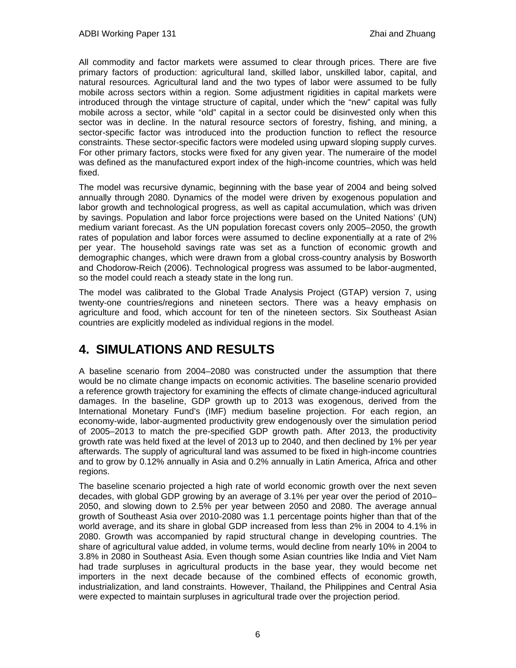All commodity and factor markets were assumed to clear through prices. There are five primary factors of production: agricultural land, skilled labor, unskilled labor, capital, and natural resources. Agricultural land and the two types of labor were assumed to be fully mobile across sectors within a region. Some adjustment rigidities in capital markets were introduced through the vintage structure of capital, under which the "new" capital was fully mobile across a sector, while "old" capital in a sector could be disinvested only when this sector was in decline. In the natural resource sectors of forestry, fishing, and mining, a sector-specific factor was introduced into the production function to reflect the resource constraints. These sector-specific factors were modeled using upward sloping supply curves. For other primary factors, stocks were fixed for any given year. The numeraire of the model was defined as the manufactured export index of the high-income countries, which was held fixed.

The model was recursive dynamic, beginning with the base year of 2004 and being solved annually through 2080. Dynamics of the model were driven by exogenous population and labor growth and technological progress, as well as capital accumulation, which was driven by savings. Population and labor force projections were based on the United Nations' (UN) medium variant forecast. As the UN population forecast covers only 2005–2050, the growth rates of population and labor forces were assumed to decline exponentially at a rate of 2% per year. The household savings rate was set as a function of economic growth and demographic changes, which were drawn from a global cross-country analysis by Bosworth and Chodorow-Reich (2006). Technological progress was assumed to be labor-augmented, so the model could reach a steady state in the long run.

The model was calibrated to the Global Trade Analysis Project (GTAP) version 7, using twenty-one countries/regions and nineteen sectors. There was a heavy emphasis on agriculture and food, which account for ten of the nineteen sectors. Six Southeast Asian countries are explicitly modeled as individual regions in the model.

# **4. SIMULATIONS AND RESULTS**

A baseline scenario from 2004–2080 was constructed under the assumption that there would be no climate change impacts on economic activities. The baseline scenario provided a reference growth trajectory for examining the effects of climate change-induced agricultural damages. In the baseline, GDP growth up to 2013 was exogenous, derived from the International Monetary Fund's (IMF) medium baseline projection. For each region, an economy-wide, labor-augmented productivity grew endogenously over the simulation period of 2005–2013 to match the pre-specified GDP growth path. After 2013, the productivity growth rate was held fixed at the level of 2013 up to 2040, and then declined by 1% per year afterwards. The supply of agricultural land was assumed to be fixed in high-income countries and to grow by 0.12% annually in Asia and 0.2% annually in Latin America, Africa and other regions.

The baseline scenario projected a high rate of world economic growth over the next seven decades, with global GDP growing by an average of 3.1% per year over the period of 2010– 2050, and slowing down to 2.5% per year between 2050 and 2080. The average annual growth of Southeast Asia over 2010-2080 was 1.1 percentage points higher than that of the world average, and its share in global GDP increased from less than 2% in 2004 to 4.1% in 2080. Growth was accompanied by rapid structural change in developing countries. The share of agricultural value added, in volume terms, would decline from nearly 10% in 2004 to 3.8% in 2080 in Southeast Asia. Even though some Asian countries like India and Viet Nam had trade surpluses in agricultural products in the base year, they would become net importers in the next decade because of the combined effects of economic growth, industrialization, and land constraints. However, Thailand, the Philippines and Central Asia were expected to maintain surpluses in agricultural trade over the projection period.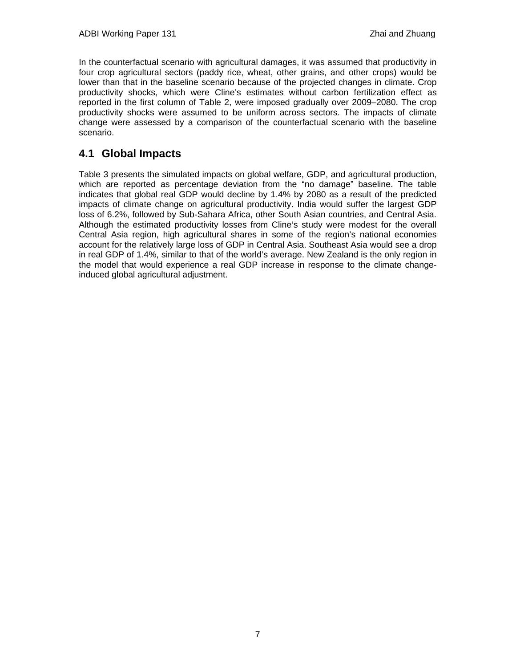In the counterfactual scenario with agricultural damages, it was assumed that productivity in four crop agricultural sectors (paddy rice, wheat, other grains, and other crops) would be lower than that in the baseline scenario because of the projected changes in climate. Crop productivity shocks, which were Cline's estimates without carbon fertilization effect as reported in the first column of Table 2, were imposed gradually over 2009–2080. The crop productivity shocks were assumed to be uniform across sectors. The impacts of climate change were assessed by a comparison of the counterfactual scenario with the baseline scenario.

### **4.1 Global Impacts**

Table 3 presents the simulated impacts on global welfare, GDP, and agricultural production, which are reported as percentage deviation from the "no damage" baseline. The table indicates that global real GDP would decline by 1.4% by 2080 as a result of the predicted impacts of climate change on agricultural productivity. India would suffer the largest GDP loss of 6.2%, followed by Sub-Sahara Africa, other South Asian countries, and Central Asia. Although the estimated productivity losses from Cline's study were modest for the overall Central Asia region, high agricultural shares in some of the region's national economies account for the relatively large loss of GDP in Central Asia. Southeast Asia would see a drop in real GDP of 1.4%, similar to that of the world's average. New Zealand is the only region in the model that would experience a real GDP increase in response to the climate changeinduced global agricultural adjustment.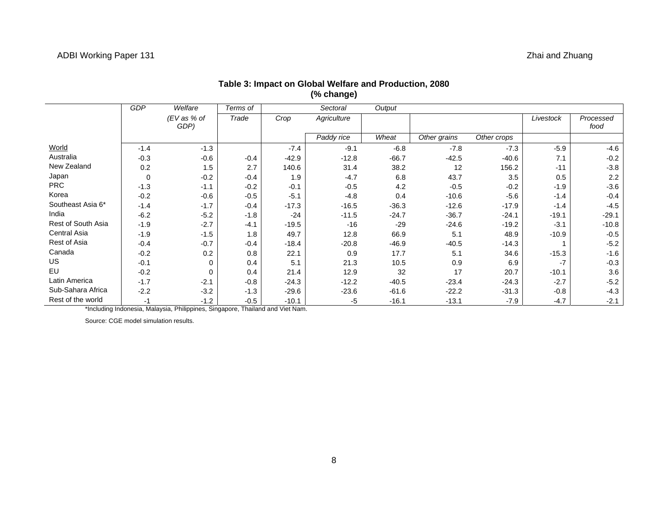|                    | <b>GDP</b> | Welfare              | Terms of |         | Sectoral    | Output  |              |             |           |                   |
|--------------------|------------|----------------------|----------|---------|-------------|---------|--------------|-------------|-----------|-------------------|
|                    |            | $EV$ as % of<br>GDP) | Trade    | Crop    | Agriculture |         |              |             | Livestock | Processed<br>food |
|                    |            |                      |          |         | Paddy rice  | Wheat   | Other grains | Other crops |           |                   |
| World              | $-1.4$     | $-1.3$               |          | $-7.4$  | $-9.1$      | $-6.8$  | $-7.8$       | $-7.3$      | $-5.9$    | $-4.6$            |
| Australia          | $-0.3$     | $-0.6$               | $-0.4$   | $-42.9$ | $-12.8$     | $-66.7$ | $-42.5$      | $-40.6$     | 7.1       | $-0.2$            |
| New Zealand        | 0.2        | 1.5                  | 2.7      | 140.6   | 31.4        | 38.2    | 12           | 156.2       | $-11$     | $-3.8$            |
| Japan              | 0          | $-0.2$               | $-0.4$   | 1.9     | $-4.7$      | 6.8     | 43.7         | 3.5         | 0.5       | 2.2               |
| <b>PRC</b>         | $-1.3$     | $-1.1$               | $-0.2$   | $-0.1$  | $-0.5$      | 4.2     | $-0.5$       | $-0.2$      | $-1.9$    | $-3.6$            |
| Korea              | $-0.2$     | $-0.6$               | $-0.5$   | $-5.1$  | $-4.8$      | 0.4     | $-10.6$      | $-5.6$      | $-1.4$    | $-0.4$            |
| Southeast Asia 6*  | $-1.4$     | $-1.7$               | $-0.4$   | $-17.3$ | $-16.5$     | $-36.3$ | $-12.6$      | $-17.9$     | $-1.4$    | $-4.5$            |
| India              | $-6.2$     | $-5.2$               | $-1.8$   | $-24$   | $-11.5$     | $-24.7$ | $-36.7$      | $-24.1$     | $-19.1$   | $-29.1$           |
| Rest of South Asia | $-1.9$     | $-2.7$               | $-4.1$   | $-19.5$ | $-16$       | $-29$   | $-24.6$      | $-19.2$     | $-3.1$    | $-10.8$           |
| Central Asia       | $-1.9$     | $-1.5$               | 1.8      | 49.7    | 12.8        | 66.9    | 5.1          | 48.9        | $-10.9$   | $-0.5$            |
| Rest of Asia       | $-0.4$     | $-0.7$               | $-0.4$   | $-18.4$ | $-20.8$     | $-46.9$ | $-40.5$      | $-14.3$     |           | $-5.2$            |
| Canada             | $-0.2$     | 0.2                  | 0.8      | 22.1    | 0.9         | 17.7    | 5.1          | 34.6        | $-15.3$   | $-1.6$            |
| <b>US</b>          | $-0.1$     | $\Omega$             | 0.4      | 5.1     | 21.3        | 10.5    | 0.9          | 6.9         | -7        | $-0.3$            |
| EU                 | $-0.2$     | 0                    | 0.4      | 21.4    | 12.9        | 32      | 17           | 20.7        | $-10.1$   | 3.6               |
| Latin America      | $-1.7$     | $-2.1$               | $-0.8$   | $-24.3$ | $-12.2$     | $-40.5$ | $-23.4$      | $-24.3$     | $-2.7$    | $-5.2$            |
| Sub-Sahara Africa  | $-2.2$     | $-3.2$               | $-1.3$   | $-29.6$ | $-23.6$     | $-61.6$ | $-22.2$      | $-31.3$     | $-0.8$    | $-4.3$            |
| Rest of the world  | -1         | $-1.2$               | $-0.5$   | $-10.1$ | -5          | $-16.1$ | $-13.1$      | $-7.9$      | $-4.7$    | $-2.1$            |

### **Table 3: Impact on Global Welfare and Production, 2080 (% change)**

\*Including Indonesia, Malaysia, Philippines, Singapore, Thailand and Viet Nam.

Source: CGE model simulation results.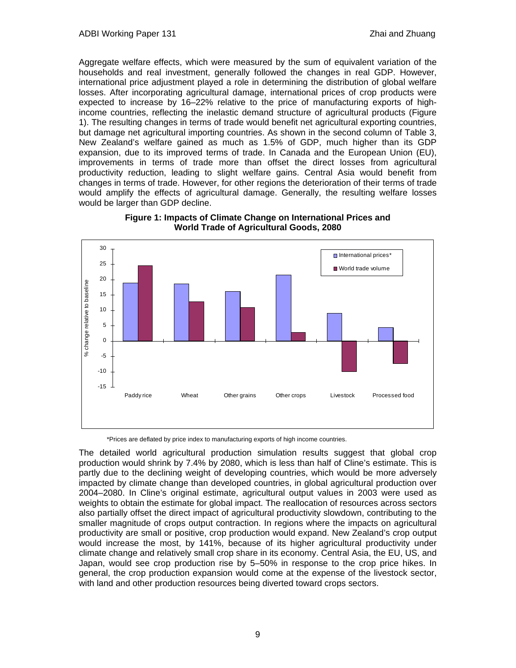Aggregate welfare effects, which were measured by the sum of equivalent variation of the households and real investment, generally followed the changes in real GDP. However, international price adjustment played a role in determining the distribution of global welfare losses. After incorporating agricultural damage, international prices of crop products were expected to increase by 16–22% relative to the price of manufacturing exports of highincome countries, reflecting the inelastic demand structure of agricultural products (Figure 1). The resulting changes in terms of trade would benefit net agricultural exporting countries, but damage net agricultural importing countries. As shown in the second column of Table 3, New Zealand's welfare gained as much as 1.5% of GDP, much higher than its GDP expansion, due to its improved terms of trade. In Canada and the European Union (EU), improvements in terms of trade more than offset the direct losses from agricultural productivity reduction, leading to slight welfare gains. Central Asia would benefit from changes in terms of trade. However, for other regions the deterioration of their terms of trade would amplify the effects of agricultural damage. Generally, the resulting welfare losses would be larger than GDP decline.



**Figure 1: Impacts of Climate Change on International Prices and World Trade of Agricultural Goods, 2080** 

\*Prices are deflated by price index to manufacturing exports of high income countries.

The detailed world agricultural production simulation results suggest that global crop production would shrink by 7.4% by 2080, which is less than half of Cline's estimate. This is partly due to the declining weight of developing countries, which would be more adversely impacted by climate change than developed countries, in global agricultural production over 2004–2080. In Cline's original estimate, agricultural output values in 2003 were used as weights to obtain the estimate for global impact. The reallocation of resources across sectors also partially offset the direct impact of agricultural productivity slowdown, contributing to the smaller magnitude of crops output contraction. In regions where the impacts on agricultural productivity are small or positive, crop production would expand. New Zealand's crop output would increase the most, by 141%, because of its higher agricultural productivity under climate change and relatively small crop share in its economy. Central Asia, the EU, US, and Japan, would see crop production rise by 5–50% in response to the crop price hikes. In general, the crop production expansion would come at the expense of the livestock sector, with land and other production resources being diverted toward crops sectors.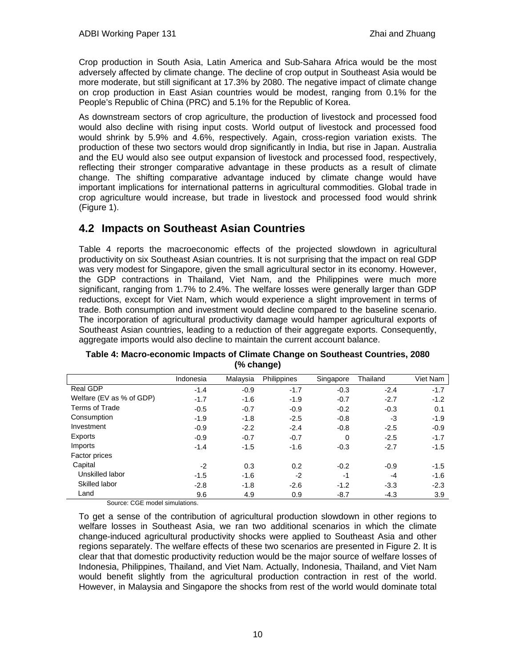Crop production in South Asia, Latin America and Sub-Sahara Africa would be the most adversely affected by climate change. The decline of crop output in Southeast Asia would be more moderate, but still significant at 17.3% by 2080. The negative impact of climate change on crop production in East Asian countries would be modest, ranging from 0.1% for the People's Republic of China (PRC) and 5.1% for the Republic of Korea.

As downstream sectors of crop agriculture, the production of livestock and processed food would also decline with rising input costs. World output of livestock and processed food would shrink by 5.9% and 4.6%, respectively. Again, cross-region variation exists. The production of these two sectors would drop significantly in India, but rise in Japan. Australia and the EU would also see output expansion of livestock and processed food, respectively, reflecting their stronger comparative advantage in these products as a result of climate change. The shifting comparative advantage induced by climate change would have important implications for international patterns in agricultural commodities. Global trade in crop agriculture would increase, but trade in livestock and processed food would shrink (Figure 1).

### **4.2 Impacts on Southeast Asian Countries**

Table 4 reports the macroeconomic effects of the projected slowdown in agricultural productivity on six Southeast Asian countries. It is not surprising that the impact on real GDP was very modest for Singapore, given the small agricultural sector in its economy. However, the GDP contractions in Thailand, Viet Nam, and the Philippines were much more significant, ranging from 1.7% to 2.4%. The welfare losses were generally larger than GDP reductions, except for Viet Nam, which would experience a slight improvement in terms of trade. Both consumption and investment would decline compared to the baseline scenario. The incorporation of agricultural productivity damage would hamper agricultural exports of Southeast Asian countries, leading to a reduction of their aggregate exports. Consequently, aggregate imports would also decline to maintain the current account balance.

|                          | Indonesia | Malaysia | Philippines | Singapore | Thailand | Viet Nam |
|--------------------------|-----------|----------|-------------|-----------|----------|----------|
| Real GDP                 | $-1.4$    | $-0.9$   | $-1.7$      | $-0.3$    | $-2.4$   | $-1.7$   |
| Welfare (EV as % of GDP) | $-1.7$    | $-1.6$   | $-1.9$      | $-0.7$    | $-2.7$   | $-1.2$   |
| Terms of Trade           | $-0.5$    | $-0.7$   | $-0.9$      | $-0.2$    | $-0.3$   | 0.1      |
| Consumption              | $-1.9$    | $-1.8$   | $-2.5$      | $-0.8$    | -3       | $-1.9$   |
| Investment               | $-0.9$    | $-2.2$   | $-2.4$      | $-0.8$    | $-2.5$   | $-0.9$   |
| Exports                  | $-0.9$    | $-0.7$   | $-0.7$      | $\Omega$  | $-2.5$   | $-1.7$   |
| Imports                  | $-1.4$    | $-1.5$   | $-1.6$      | $-0.3$    | $-2.7$   | $-1.5$   |
| Factor prices            |           |          |             |           |          |          |
| Capital                  | $-2$      | 0.3      | 0.2         | $-0.2$    | $-0.9$   | $-1.5$   |
| Unskilled labor          | $-1.5$    | $-1.6$   | $-2$        | $-1$      | $-4$     | $-1.6$   |
| Skilled labor            | $-2.8$    | $-1.8$   | $-2.6$      | $-1.2$    | $-3.3$   | $-2.3$   |
| Land                     | 9.6       | 4.9      | 0.9         | $-8.7$    | $-4.3$   | 3.9      |

**Table 4: Macro-economic Impacts of Climate Change on Southeast Countries, 2080 (% change)** 

Source: CGE model simulations.

To get a sense of the contribution of agricultural production slowdown in other regions to welfare losses in Southeast Asia, we ran two additional scenarios in which the climate change-induced agricultural productivity shocks were applied to Southeast Asia and other regions separately. The welfare effects of these two scenarios are presented in Figure 2. It is clear that that domestic productivity reduction would be the major source of welfare losses of Indonesia, Philippines, Thailand, and Viet Nam. Actually, Indonesia, Thailand, and Viet Nam would benefit slightly from the agricultural production contraction in rest of the world. However, in Malaysia and Singapore the shocks from rest of the world would dominate total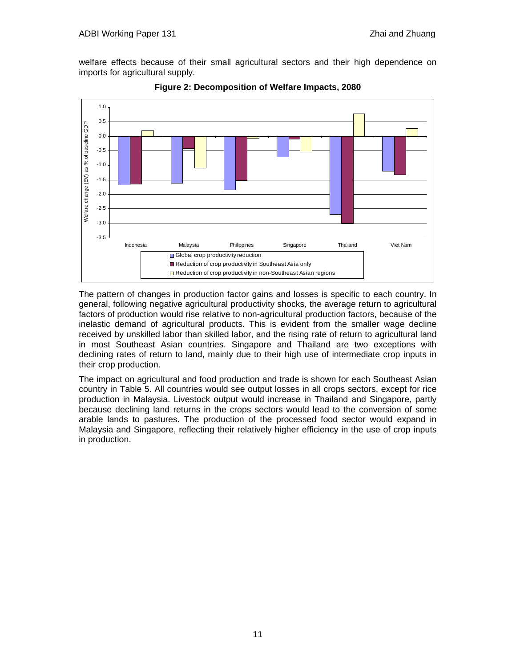welfare effects because of their small agricultural sectors and their high dependence on imports for agricultural supply.



**Figure 2: Decomposition of Welfare Impacts, 2080** 

The pattern of changes in production factor gains and losses is specific to each country. In general, following negative agricultural productivity shocks, the average return to agricultural factors of production would rise relative to non-agricultural production factors, because of the inelastic demand of agricultural products. This is evident from the smaller wage decline received by unskilled labor than skilled labor, and the rising rate of return to agricultural land in most Southeast Asian countries. Singapore and Thailand are two exceptions with declining rates of return to land, mainly due to their high use of intermediate crop inputs in their crop production.

The impact on agricultural and food production and trade is shown for each Southeast Asian country in Table 5. All countries would see output losses in all crops sectors, except for rice production in Malaysia. Livestock output would increase in Thailand and Singapore, partly because declining land returns in the crops sectors would lead to the conversion of some arable lands to pastures. The production of the processed food sector would expand in Malaysia and Singapore, reflecting their relatively higher efficiency in the use of crop inputs in production.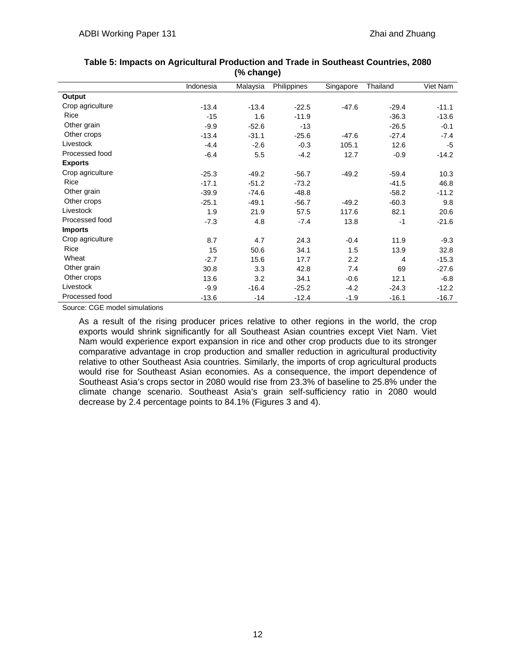|                  | Indonesia | Malaysia | Philippines | Singapore        | Thailand | Viet Nam |
|------------------|-----------|----------|-------------|------------------|----------|----------|
| Output           |           |          |             |                  |          |          |
| Crop agriculture | $-13.4$   | $-13.4$  | $-22.5$     | $-47.6$          | $-29.4$  | $-11.1$  |
| Rice             | $-15$     | 1.6      | $-11.9$     |                  | $-36.3$  | $-13.6$  |
| Other grain      | $-9.9$    | $-52.6$  | $-13$       |                  | $-26.5$  | $-0.1$   |
| Other crops      | $-13.4$   | $-31.1$  | $-25.6$     | $-47.6$          | $-27.4$  | $-7.4$   |
| Livestock        | $-4.4$    | $-2.6$   | $-0.3$      | 105.1            | 12.6     | $-5$     |
| Processed food   | $-6.4$    | 5.5      | $-4.2$      | 12.7             | $-0.9$   | $-14.2$  |
| <b>Exports</b>   |           |          |             |                  |          |          |
| Crop agriculture | $-25.3$   | $-49.2$  | $-56.7$     | $-49.2$          | $-59.4$  | 10.3     |
| Rice             | $-17.1$   | $-51.2$  | $-73.2$     |                  | $-41.5$  | 46.8     |
| Other grain      | $-39.9$   | $-74.6$  | $-48.8$     |                  | $-58.2$  | $-11.2$  |
| Other crops      | $-25.1$   | $-49.1$  | $-56.7$     | $-49.2$          | $-60.3$  | 9.8      |
| Livestock        | 1.9       | 21.9     | 57.5        | 117.6            | 82.1     | 20.6     |
| Processed food   | $-7.3$    | 4.8      | $-7.4$      | 13.8             | $-1$     | $-21.6$  |
| <b>Imports</b>   |           |          |             |                  |          |          |
| Crop agriculture | 8.7       | 4.7      | 24.3        | $-0.4$           | 11.9     | $-9.3$   |
| Rice             | 15        | 50.6     | 34.1        | 1.5              | 13.9     | 32.8     |
| Wheat            | $-2.7$    | 15.6     | 17.7        | $2.2\phantom{0}$ | 4        | $-15.3$  |
| Other grain      | 30.8      | 3.3      | 42.8        | 7.4              | 69       | $-27.6$  |
| Other crops      | 13.6      | 3.2      | 34.1        | $-0.6$           | 12.1     | $-6.8$   |
| Livestock        | $-9.9$    | $-16.4$  | $-25.2$     | $-4.2$           | $-24.3$  | $-12.2$  |
| Processed food   | $-13.6$   | $-14$    | $-12.4$     | $-1.9$           | $-16.1$  | $-16.7$  |

### **Table 5: Impacts on Agricultural Production and Trade in Southeast Countries, 2080 (% change)**

Source: CGE model simulations

As a result of the rising producer prices relative to other regions in the world, the crop exports would shrink significantly for all Southeast Asian countries except Viet Nam. Viet Nam would experience export expansion in rice and other crop products due to its stronger comparative advantage in crop production and smaller reduction in agricultural productivity relative to other Southeast Asia countries. Similarly, the imports of crop agricultural products would rise for Southeast Asian economies. As a consequence, the import dependence of Southeast Asia's crops sector in 2080 would rise from 23.3% of baseline to 25.8% under the climate change scenario. Southeast Asia's grain self-sufficiency ratio in 2080 would decrease by 2.4 percentage points to 84.1% (Figures 3 and 4).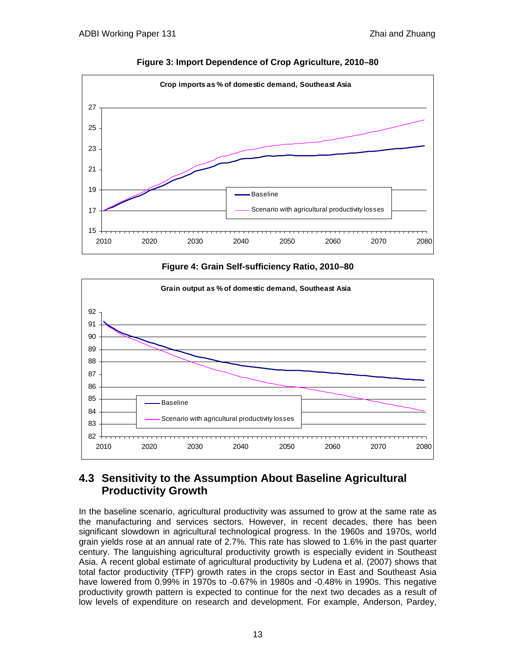

**Figure 3: Import Dependence of Crop Agriculture, 2010–80** 





### **4.3 Sensitivity to the Assumption About Baseline Agricultural Productivity Growth**

In the baseline scenario, agricultural productivity was assumed to grow at the same rate as the manufacturing and services sectors. However, in recent decades, there has been significant slowdown in agricultural technological progress. In the 1960s and 1970s, world grain yields rose at an annual rate of 2.7%. This rate has slowed to 1.6% in the past quarter century. The languishing agricultural productivity growth is especially evident in Southeast Asia. A recent global estimate of agricultural productivity by Ludena et al. (2007) shows that total factor productivity (TFP) growth rates in the crops sector in East and Southeast Asia have lowered from 0.99% in 1970s to -0.67% in 1980s and -0.48% in 1990s. This negative productivity growth pattern is expected to continue for the next two decades as a result of low levels of expenditure on research and development. For example, Anderson, Pardey,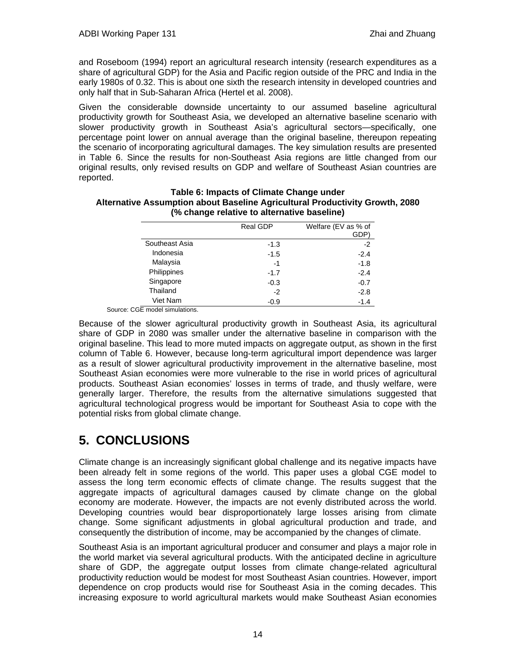and Roseboom (1994) report an agricultural research intensity (research expenditures as a share of agricultural GDP) for the Asia and Pacific region outside of the PRC and India in the early 1980s of 0.32. This is about one sixth the research intensity in developed countries and only half that in Sub-Saharan Africa (Hertel et al. 2008).

Given the considerable downside uncertainty to our assumed baseline agricultural productivity growth for Southeast Asia, we developed an alternative baseline scenario with slower productivity growth in Southeast Asia's agricultural sectors—specifically, one percentage point lower on annual average than the original baseline, thereupon repeating the scenario of incorporating agricultural damages. The key simulation results are presented in Table 6. Since the results for non-Southeast Asia regions are little changed from our original results, only revised results on GDP and welfare of Southeast Asian countries are reported.

|                | Real GDP | Welfare (EV as % of<br>GDP) |
|----------------|----------|-----------------------------|
| Southeast Asia | $-1.3$   | $-2$                        |
| Indonesia      | $-1.5$   | $-2.4$                      |
| Malaysia       | $-1$     | $-1.8$                      |
| Philippines    | $-1.7$   | $-2.4$                      |
| Singapore      | $-0.3$   | $-0.7$                      |
| Thailand       | $-2$     | $-2.8$                      |
| Viet Nam       | $-0.9$   | $-1.4$                      |

### **Table 6: Impacts of Climate Change under Alternative Assumption about Baseline Agricultural Productivity Growth, 2080 (% change relative to alternative baseline)**

Source: CGE model simulations.

Because of the slower agricultural productivity growth in Southeast Asia, its agricultural share of GDP in 2080 was smaller under the alternative baseline in comparison with the original baseline. This lead to more muted impacts on aggregate output, as shown in the first column of Table 6. However, because long-term agricultural import dependence was larger as a result of slower agricultural productivity improvement in the alternative baseline, most Southeast Asian economies were more vulnerable to the rise in world prices of agricultural products. Southeast Asian economies' losses in terms of trade, and thusly welfare, were generally larger. Therefore, the results from the alternative simulations suggested that agricultural technological progress would be important for Southeast Asia to cope with the potential risks from global climate change.

# **5. CONCLUSIONS**

Climate change is an increasingly significant global challenge and its negative impacts have been already felt in some regions of the world. This paper uses a global CGE model to assess the long term economic effects of climate change. The results suggest that the aggregate impacts of agricultural damages caused by climate change on the global economy are moderate. However, the impacts are not evenly distributed across the world. Developing countries would bear disproportionately large losses arising from climate change. Some significant adjustments in global agricultural production and trade, and consequently the distribution of income, may be accompanied by the changes of climate.

Southeast Asia is an important agricultural producer and consumer and plays a major role in the world market via several agricultural products. With the anticipated decline in agriculture share of GDP, the aggregate output losses from climate change-related agricultural productivity reduction would be modest for most Southeast Asian countries. However, import dependence on crop products would rise for Southeast Asia in the coming decades. This increasing exposure to world agricultural markets would make Southeast Asian economies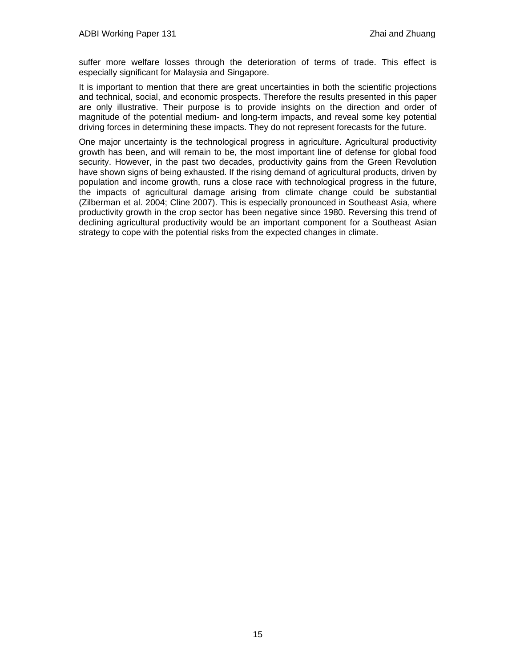suffer more welfare losses through the deterioration of terms of trade. This effect is especially significant for Malaysia and Singapore.

It is important to mention that there are great uncertainties in both the scientific projections and technical, social, and economic prospects. Therefore the results presented in this paper are only illustrative. Their purpose is to provide insights on the direction and order of magnitude of the potential medium- and long-term impacts, and reveal some key potential driving forces in determining these impacts. They do not represent forecasts for the future.

One major uncertainty is the technological progress in agriculture. Agricultural productivity growth has been, and will remain to be, the most important line of defense for global food security. However, in the past two decades, productivity gains from the Green Revolution have shown signs of being exhausted. If the rising demand of agricultural products, driven by population and income growth, runs a close race with technological progress in the future, the impacts of agricultural damage arising from climate change could be substantial (Zilberman et al. 2004; Cline 2007). This is especially pronounced in Southeast Asia, where productivity growth in the crop sector has been negative since 1980. Reversing this trend of declining agricultural productivity would be an important component for a Southeast Asian strategy to cope with the potential risks from the expected changes in climate.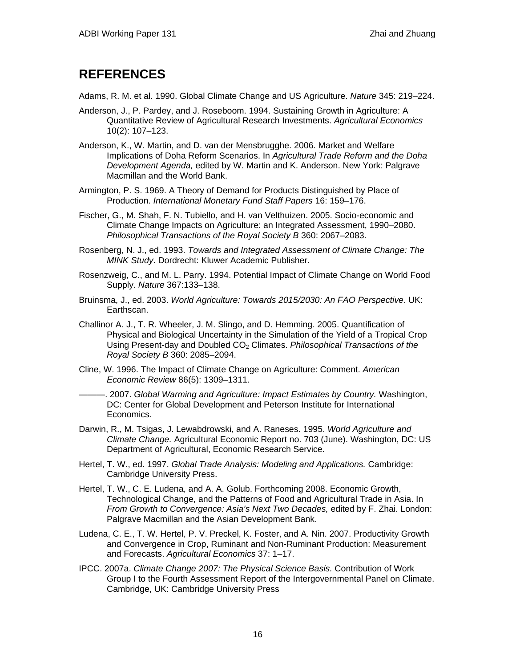## **REFERENCES**

Adams, R. M. et al. 1990. Global Climate Change and US Agriculture. *Nature* 345: 219–224.

- Anderson, J., P. Pardey, and J. Roseboom. 1994. Sustaining Growth in Agriculture: A Quantitative Review of Agricultural Research Investments. *Agricultural Economics* 10(2): 107–123.
- Anderson, K., W. Martin, and D. van der Mensbrugghe. 2006. Market and Welfare Implications of Doha Reform Scenarios. In *Agricultural Trade Reform and the Doha Development Agenda,* edited by W. Martin and K. Anderson. New York: Palgrave Macmillan and the World Bank.
- Armington, P. S. 1969. A Theory of Demand for Products Distinguished by Place of Production. *International Monetary Fund Staff Papers* 16: 159–176.
- Fischer, G., M. Shah, F. N. Tubiello, and H. van Velthuizen. 2005. Socio-economic and Climate Change Impacts on Agriculture: an Integrated Assessment, 1990–2080. *Philosophical Transactions of the Royal Society B* 360: 2067–2083.
- Rosenberg, N. J., ed. 1993. *Towards and Integrated Assessment of Climate Change: The MINK Study*. Dordrecht: Kluwer Academic Publisher.
- Rosenzweig, C., and M. L. Parry. 1994. Potential Impact of Climate Change on World Food Supply. *Nature* 367:133–138.
- Bruinsma, J., ed. 2003. *World Agriculture: Towards 2015/2030: An FAO Perspective.* UK: Earthscan.
- Challinor A. J., T. R. Wheeler, J. M. Slingo, and D. Hemming. 2005. Quantification of Physical and Biological Uncertainty in the Simulation of the Yield of a Tropical Crop Using Present-day and Doubled CO2 Climates. *Philosophical Transactions of the Royal Society B* 360: 2085–2094.
- Cline, W. 1996. The Impact of Climate Change on Agriculture: Comment. *American Economic Review* 86(5): 1309–1311.

———. 2007. *Global Warming and Agriculture: Impact Estimates by Country.* Washington, DC: Center for Global Development and Peterson Institute for International Economics.

- Darwin, R., M. Tsigas, J. Lewabdrowski, and A. Raneses. 1995. *World Agriculture and Climate Change.* Agricultural Economic Report no. 703 (June). Washington, DC: US Department of Agricultural, Economic Research Service.
- Hertel, T. W., ed. 1997. *Global Trade Analysis: Modeling and Applications.* Cambridge: Cambridge University Press.
- Hertel, T. W., C. E. Ludena, and A. A. Golub. Forthcoming 2008. Economic Growth, Technological Change, and the Patterns of Food and Agricultural Trade in Asia. In *From Growth to Convergence: Asia's Next Two Decades,* edited by F. Zhai. London: Palgrave Macmillan and the Asian Development Bank.
- Ludena, C. E., T. W. Hertel, P. V. Preckel, K. Foster, and A. Nin. 2007. Productivity Growth and Convergence in Crop, Ruminant and Non-Ruminant Production: Measurement and Forecasts. *Agricultural Economics* 37: 1–17.
- IPCC. 2007a. *Climate Change 2007: The Physical Science Basis.* Contribution of Work Group I to the Fourth Assessment Report of the Intergovernmental Panel on Climate. Cambridge, UK: Cambridge University Press